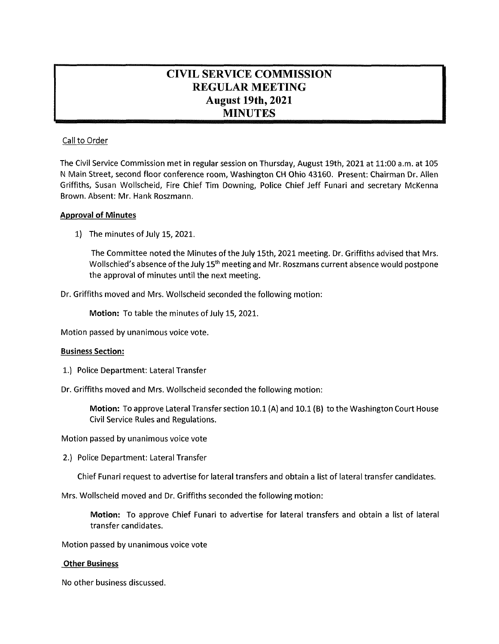# **CIVIL SERVICE COMMISSION REGULAR MEETING August 19th, 2021 MINUTES**

# Call to Order

The Civil Service Commission met in regular session on Thursday, August 19th, 2021 at 11:00 a.m. at 105 N Main Street, second floor conference room, Washington CH Ohio 43160. Present: Chairman Dr. Allen Griffiths, Susan Wollscheid, Fire Chief Tim Downing, Police Chief Jeff Funari and secretary McKenna Brown. Absent: Mr. Hank Roszmann.

## **Approval of Minutes**

1) The minutes of July 15, 2021.

The Committee noted the Minutes of the July 15th, 2021 meeting. Dr. Griffiths advised that Mrs. Wollschied's absence of the July 15<sup>th</sup> meeting and Mr. Roszmans current absence would postpone the approval of minutes until the next meeting.

Dr. Griffiths moved and Mrs. Wollscheid seconded the following motion:

**Motion:** To table the minutes of July 15, 2021.

Motion passed by unanimous voice vote.

#### **Business Section:**

- 1.) Police Department: Lateral Transfer
- Dr. Griffiths moved and Mrs. Wollscheid seconded the following motion:

**Motion:** To approve Lateral Transfer section 10.1 (A) and 10.1 (B) to the Washington Court House Civil Service Rules and Regulations.

Motion passed by unanimous voice vote

2.) Police Department: Lateral Transfer

Chief Funari request to advertise for lateral transfers and obtain <sup>a</sup> list of lateral transfer candidates.

Mrs. Wollscheid moved and Dr. Griffiths seconded the following motion:

**Motion:** To approve Chief Funari to advertise for lateral transfers and obtain a list of lateral transfer candidates.

Motion passed by unanimous voice vote

#### **Other Business**

No other business discussed.